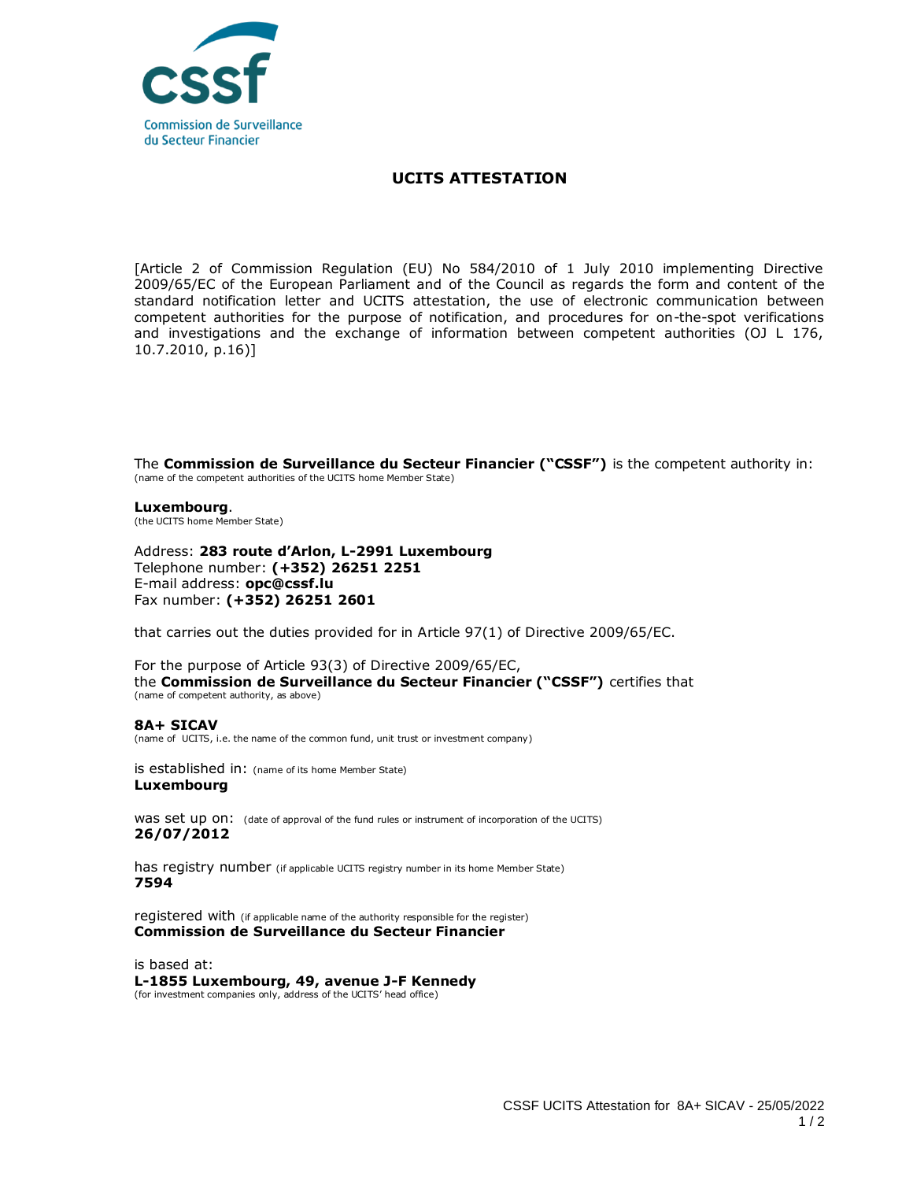

## **UCITS ATTESTATION**

[Article 2 of Commission Regulation (EU) No 584/2010 of 1 July 2010 implementing Directive 2009/65/EC of the European Parliament and of the Council as regards the form and content of the standard notification letter and UCITS attestation, the use of electronic communication between competent authorities for the purpose of notification, and procedures for on-the-spot verifications and investigations and the exchange of information between competent authorities (OJ L 176, 10.7.2010, p.16)]

The **Commission de Surveillance du Secteur Financier ("CSSF")** is the competent authority in: (name of the competent authorities of the UCITS home Member State)

**Luxembourg**. (the UCITS home Member State)

Address: **283 route d'Arlon, L-2991 Luxembourg** Telephone number: **(+352) 26251 2251**  E-mail address: **opc@cssf.lu** Fax number: **(+352) 26251 2601**

that carries out the duties provided for in Article 97(1) of Directive 2009/65/EC.

For the purpose of Article 93(3) of Directive 2009/65/EC, the **Commission de Surveillance du Secteur Financier ("CSSF")** certifies that (name of competent authority, as above)

## **8A+ SICAV**

(name of UCITS, i.e. the name of the common fund, unit trust or investment company)

is established in: (name of its home Member State) **Luxembourg**

WAS Set up ON: (date of approval of the fund rules or instrument of incorporation of the UCITS) **26/07/2012**

has registry number (if applicable UCITS registry number in its home Member State) **7594**

registered with (if applicable name of the authority responsible for the register) **Commission de Surveillance du Secteur Financier**

is based at: **L-1855 Luxembourg, 49, avenue J-F Kennedy** (for investment companies only, address of the UCITS' head office)